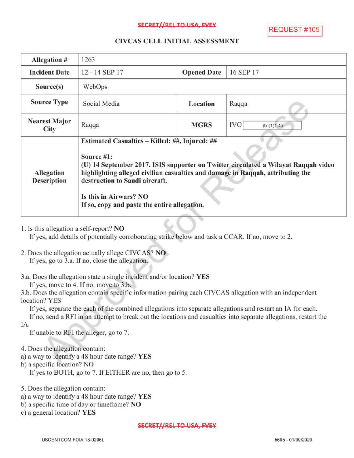### SECRET//REL TO USA, FVEY

REQUEST #105

### CIVCAS CELL INITIALASSESSMENT

| Allegation #                 | 1263                                                                                                                                                                                                                                                                                                                                             |                    |                          |
|------------------------------|--------------------------------------------------------------------------------------------------------------------------------------------------------------------------------------------------------------------------------------------------------------------------------------------------------------------------------------------------|--------------------|--------------------------|
| <b>Incident Date</b>         | 12 - 14 SEP 17                                                                                                                                                                                                                                                                                                                                   | <b>Opened Date</b> | 16 SEP 17                |
| Source(s)                    | WebOps                                                                                                                                                                                                                                                                                                                                           |                    |                          |
| <b>Source Type</b>           | Social Media                                                                                                                                                                                                                                                                                                                                     | Location           | Raqqa                    |
| <b>Nearest Major</b><br>City | Raqqa                                                                                                                                                                                                                                                                                                                                            | <b>MGRS</b>        | <b>IVO</b><br>(b)(1)1.4a |
| Allegation<br>Description    | Estimated Casualties - Killed: ##, Injured: ##<br>Source #1:<br>(U) 14 September 2017. ISIS supporter on Twitter circulated a Wilayat Raqqah video<br>highlighting alleged civilian casualties and damage in Raqqah, attributing the<br>destruction to Saudi aircraft.<br>Is this in Airwars? NO<br>If so, copy and paste the entire allegation. |                    |                          |

1. Is this allegation <sup>a</sup> self-report? NO

If yes, add details of potentially corroborating strike below and task a CCAR. If no, move to 2.

- 2. Does the allegation actually allege CIVCAS? NO If yes, go to 3.a. If no, close the allegation.
- 3.a. Does the allegation state a single incident and/or location? YES

If yes, move to 4. If no, move to 3.b.

3.b. Does the allegation contain specific information pairing each CIVCAS allegation with an independent location? YES

If yes, separate the each of the combined allegations into separate allegations and restart an IA for each.

If no, send a RFI in an attempt to break out the locations and casualties into separate allegations, restart the IA

If unable to RFI the alleger, go to 7.

- 4. Does the allegation contain:
- a) <sup>a</sup> way to identify a 48 hour date range? YES
- b ) a specific location? NO

If yes to BOTH, go to 7. If EITHER are no, then go to 5.

5. Does the allegation contain:

- a) <sup>a</sup> way to identify <sup>a</sup> 48 hour date range? YES
- b) a specific time of day or timeframe? NO

c) a general location?  $YES$ 

#### SECRET//REL TO USA, EVEY